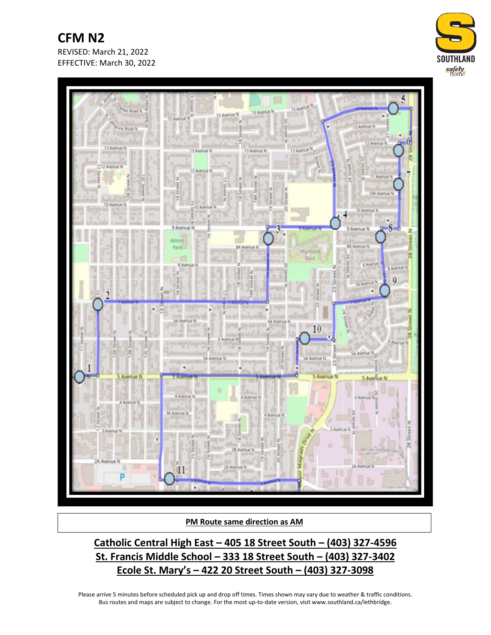**CFM N2** REVISED: March 21, 2022 EFFECTIVE: March 30, 2022





**PM Route same direction as AM**

**Catholic Central High East – 405 18 Street South – (403) 327-4596 St. Francis Middle School – 333 18 Street South – (403) 327-3402 Ecole St. Mary's – 422 20 Street South – (403) 327-3098**

Please arrive 5 minutes before scheduled pick up and drop off times. Times shown may vary due to weather & traffic conditions. Bus routes and maps are subject to change. For the most up-to-date version, visit www.southland.ca/lethbridge.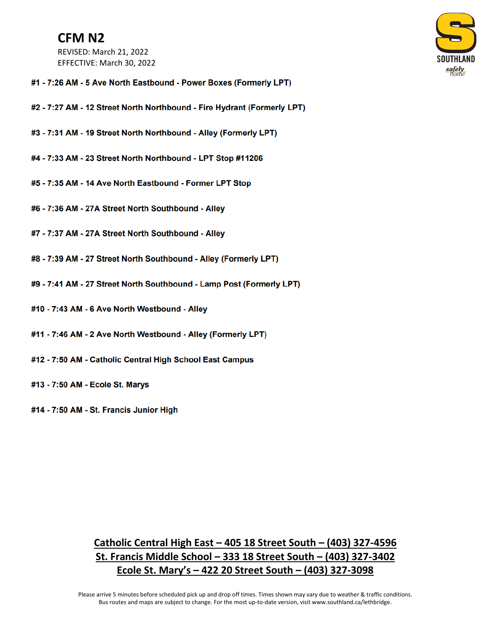## **CFM N2**

REVISED: March 21, 2022 EFFECTIVE: March 30, 2022



- #1 7:26 AM 5 Ave North Eastbound Power Boxes (Formerly LPT)
- #2 7:27 AM 12 Street North Northbound Fire Hydrant (Formerly LPT)
- #3 7:31 AM 19 Street North Northbound Alley (Formerly LPT)
- #4 7:33 AM 23 Street North Northbound LPT Stop #11206
- #5 7:35 AM 14 Ave North Eastbound Former LPT Stop
- #6 7:36 AM 27A Street North Southbound Alley
- #7 7:37 AM 27A Street North Southbound Alley
- #8 7:39 AM 27 Street North Southbound Alley (Formerly LPT)
- #9 7:41 AM 27 Street North Southbound Lamp Post (Formerly LPT)
- #10 7:43 AM 6 Ave North Westbound Alley
- #11 7:46 AM 2 Ave North Westbound Alley (Formerly LPT)
- #12 7:50 AM Catholic Central High School East Campus
- #13 7:50 AM Ecole St. Marys
- #14 7:50 AM St. Francis Junior High

## Catholic Central High East - 405 18 Street South - (403) 327-4596 St. Francis Middle School - 333 18 Street South - (403) 327-3402 Ecole St. Mary's  $-$  422 20 Street South  $-$  (403) 327-3098

Please arrive 5 minutes before scheduled pick up and drop off times. Times shown may vary due to weather & traffic conditions. Bus routes and maps are subject to change. For the most up-to-date version, visit www.southland.ca/lethbridge.